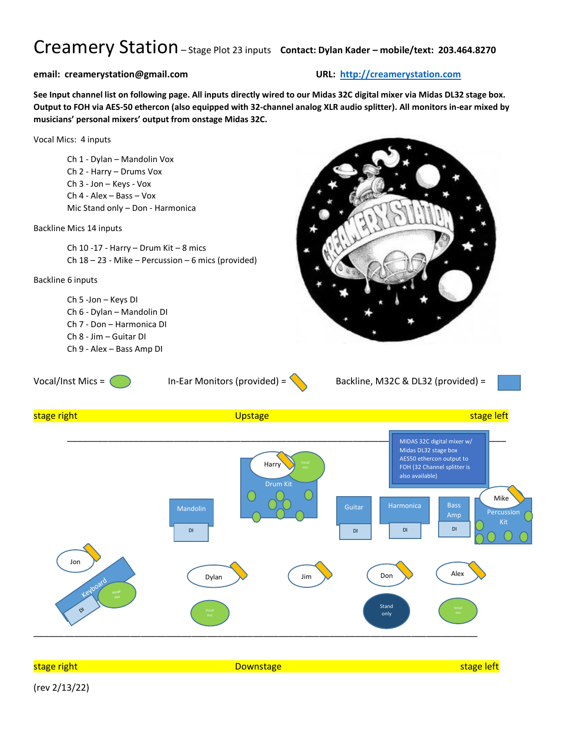## Creamery Station– Stage Plot <sup>23</sup> inputs **Contact: Dylan Kader – mobile/text: 203.464.8270**

## **email: creamerystation@gmail.com URL: [http://creamerystation.com](http://creamerystation.com/)**

**See Input channel list on following page. All inputs directly wired to our Midas 32C digital mixer via Midas DL32 stage box. Output to FOH via AES-50 ethercon (also equipped with 32-channel analog XLR audio splitter). All monitors in-ear mixed by musicians' personal mixers' output from onstage Midas 32C.**



(rev 2/13/22)